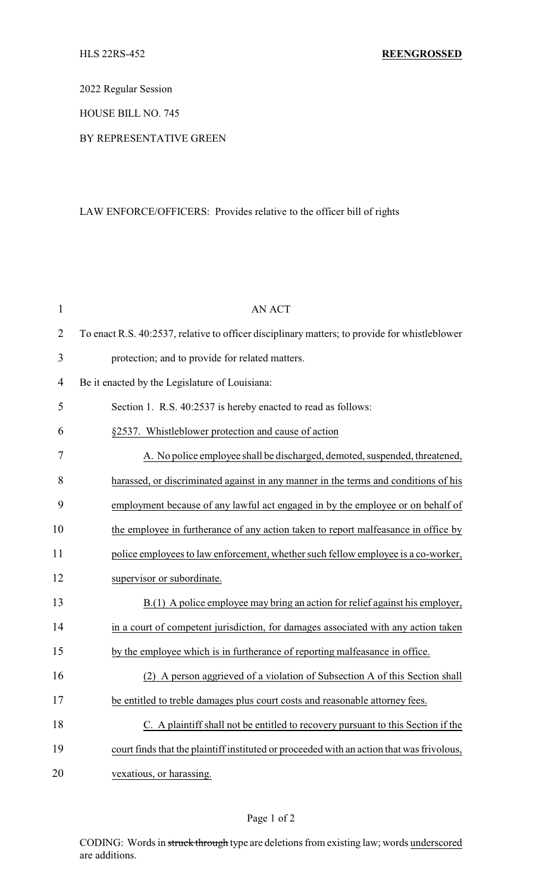2022 Regular Session

HOUSE BILL NO. 745

## BY REPRESENTATIVE GREEN

## LAW ENFORCE/OFFICERS: Provides relative to the officer bill of rights

| $\mathbf{1}$   | <b>AN ACT</b>                                                                                 |
|----------------|-----------------------------------------------------------------------------------------------|
| $\overline{2}$ | To enact R.S. 40:2537, relative to officer disciplinary matters; to provide for whistleblower |
| 3              | protection; and to provide for related matters.                                               |
| $\overline{4}$ | Be it enacted by the Legislature of Louisiana:                                                |
| 5              | Section 1. R.S. 40:2537 is hereby enacted to read as follows:                                 |
| 6              | §2537. Whistleblower protection and cause of action                                           |
| 7              | A. No police employee shall be discharged, demoted, suspended, threatened,                    |
| 8              | harassed, or discriminated against in any manner in the terms and conditions of his           |
| 9              | employment because of any lawful act engaged in by the employee or on behalf of               |
| 10             | the employee in furtherance of any action taken to report malfeasance in office by            |
| 11             | police employees to law enforcement, whether such fellow employee is a co-worker,             |
| 12             | supervisor or subordinate.                                                                    |
| 13             | B.(1) A police employee may bring an action for relief against his employer,                  |
| 14             | in a court of competent jurisdiction, for damages associated with any action taken            |
| 15             | by the employee which is in furtherance of reporting malfeasance in office.                   |
| 16             | A person aggrieved of a violation of Subsection A of this Section shall<br>(2)                |
| 17             | be entitled to treble damages plus court costs and reasonable attorney fees.                  |
| 18             | C. A plaint iff shall not be entitled to recovery pursuant to this Section if the             |
| 19             | court finds that the plaintiff instituted or proceeded with an action that was frivolous,     |
| 20             | vexatious, or harassing.                                                                      |